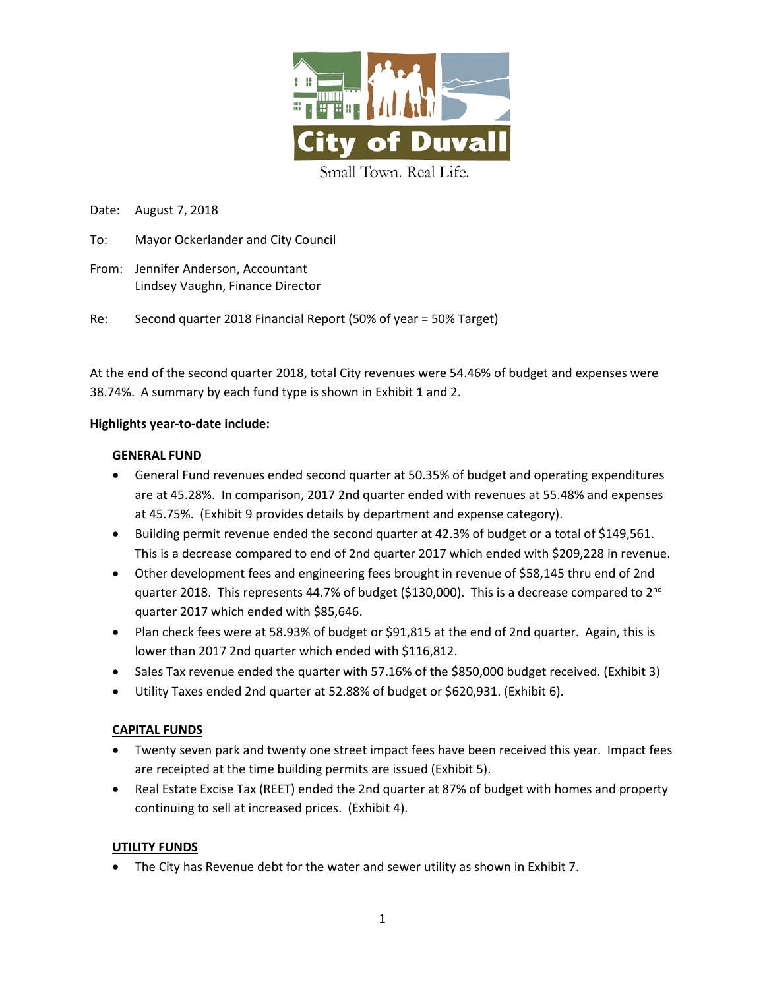

Date: August 7, 2018

- To: Mayor Ockerlander and City Council
- From: Jennifer Anderson, Accountant Lindsey Vaughn, Finance Director

Re: Second quarter 2018 Financial Report (50% of year = 50% Target)

At the end of the second quarter 2018, total City revenues were 54.46% of budget and expenses were 38.74%. A summary by each fund type is shown in Exhibit 1 and 2.

## **Highlights year-to-date include:**

## **GENERAL FUND**

- General Fund revenues ended second quarter at 50.35% of budget and operating expenditures are at 45.28%. In comparison, 2017 2nd quarter ended with revenues at 55.48% and expenses at 45.75%. (Exhibit 9 provides details by department and expense category).
- Building permit revenue ended the second quarter at 42.3% of budget or a total of \$149,561. This is a decrease compared to end of 2nd quarter 2017 which ended with \$209,228 in revenue.
- Other development fees and engineering fees brought in revenue of \$58,145 thru end of 2nd quarter 2018. This represents 44.7% of budget (\$130,000). This is a decrease compared to 2<sup>nd</sup> quarter 2017 which ended with \$85,646.
- Plan check fees were at 58.93% of budget or \$91,815 at the end of 2nd quarter. Again, this is lower than 2017 2nd quarter which ended with \$116,812.
- Sales Tax revenue ended the quarter with 57.16% of the \$850,000 budget received. (Exhibit 3)
- Utility Taxes ended 2nd quarter at 52.88% of budget or \$620,931. (Exhibit 6).

## **CAPITAL FUNDS**

- Twenty seven park and twenty one street impact fees have been received this year. Impact fees are receipted at the time building permits are issued (Exhibit 5).
- Real Estate Excise Tax (REET) ended the 2nd quarter at 87% of budget with homes and property continuing to sell at increased prices. (Exhibit 4).

## **UTILITY FUNDS**

• The City has Revenue debt for the water and sewer utility as shown in Exhibit 7.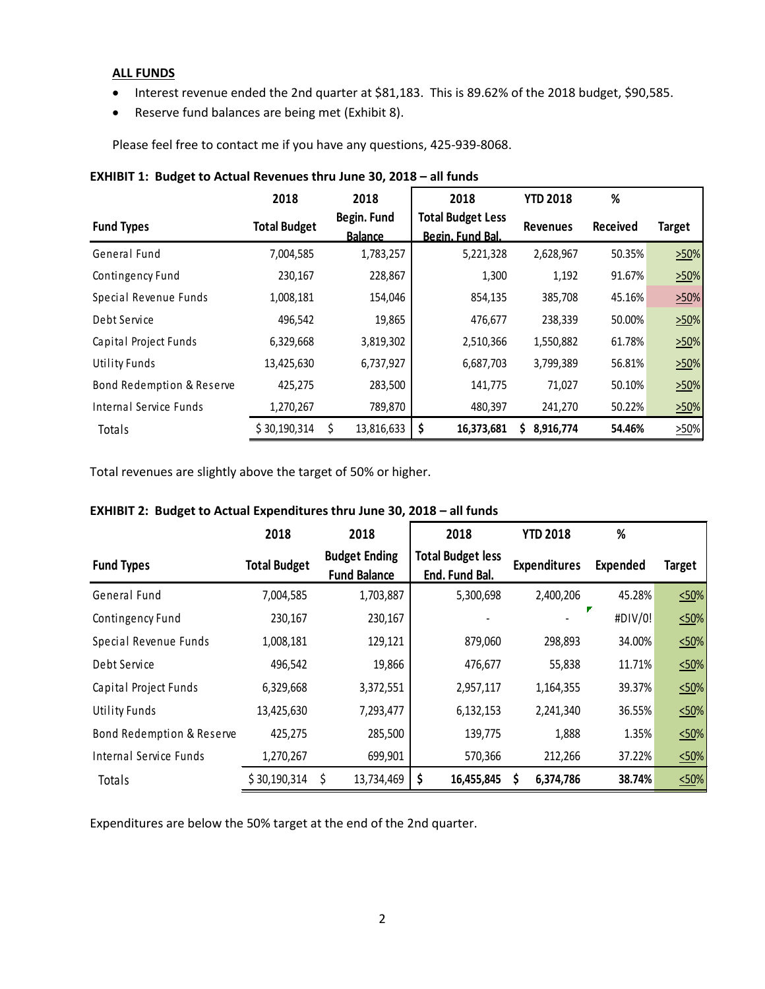#### **ALL FUNDS**

- Interest revenue ended the 2nd quarter at \$81,183. This is 89.62% of the 2018 budget, \$90,585.
- Reserve fund balances are being met (Exhibit 8).

Please feel free to contact me if you have any questions, 425-939-8068.

|                           | 2018                | 2018                          | 2018                                         | <b>YTD 2018</b> | %               |               |
|---------------------------|---------------------|-------------------------------|----------------------------------------------|-----------------|-----------------|---------------|
| <b>Fund Types</b>         | <b>Total Budget</b> | Begin. Fund<br><b>Balance</b> | <b>Total Budget Less</b><br>Begin. Fund Bal. | <b>Revenues</b> | <b>Received</b> | <b>Target</b> |
| General Fund              | 7,004,585           | 1,783,257                     | 5,221,328                                    | 2,628,967       | 50.35%          | >50%          |
| Contingency Fund          | 230.167             | 228,867                       | 1,300                                        | 1,192           | 91.67%          | >50%          |
| Special Revenue Funds     | 1,008,181           | 154,046                       | 854,135                                      | 385,708         | 45.16%          | >50%          |
| Debt Service              | 496,542             | 19,865                        | 476,677                                      | 238,339         | 50.00%          | >50%          |
| Capital Project Funds     | 6,329,668           | 3,819,302                     | 2,510,366                                    | 1,550,882       | 61.78%          | >50%          |
| <b>Utility Funds</b>      | 13,425,630          | 6,737,927                     | 6,687,703                                    | 3,799,389       | 56.81%          | >50%          |
| Bond Redemption & Reserve | 425,275             | 283,500                       | 141,775                                      | 71,027          | 50.10%          | >50%          |
| Internal Service Funds    | 1,270,267           | 789,870                       | 480,397                                      | 241,270         | 50.22%          | >50%          |
| Totals                    | \$30,190,314        | 13,816,633                    | \$<br>16,373,681                             | 8,916,774<br>S  | 54.46%          | $>50\%$       |

## **EXHIBIT 1: Budget to Actual Revenues thru June 30, 2018 – all funds**

Total revenues are slightly above the target of 50% or higher.

# **EXHIBIT 2: Budget to Actual Expenditures thru June 30, 2018 – all funds**

|                           | 2018                | 2018                                        | 2018                                       | <b>YTD 2018</b>     | %        |             |
|---------------------------|---------------------|---------------------------------------------|--------------------------------------------|---------------------|----------|-------------|
| <b>Fund Types</b>         | <b>Total Budget</b> | <b>Budget Ending</b><br><b>Fund Balance</b> | <b>Total Budget less</b><br>End. Fund Bal. | <b>Expenditures</b> | Expended | Target      |
| General Fund              | 7,004,585           | 1,703,887                                   | 5,300,698                                  | 2,400,206           | 45.28%   | $\leq 50\%$ |
| Contingency Fund          | 230,167             | 230,167                                     |                                            |                     | #DIV/0!  | 50%         |
| Special Revenue Funds     | 1,008,181           | 129,121                                     | 879,060                                    | 298,893             | 34.00%   | 50%         |
| Debt Service              | 496,542             | 19,866                                      | 476,677                                    | 55,838              | 11.71%   | 50%         |
| Capital Project Funds     | 6,329,668           | 3,372,551                                   | 2,957,117                                  | 1,164,355           | 39.37%   | 50%         |
| <b>Utility Funds</b>      | 13,425,630          | 7,293,477                                   | 6,132,153                                  | 2,241,340           | 36.55%   | 50%         |
| Bond Redemption & Reserve | 425,275             | 285,500                                     | 139,775                                    | 1,888               | 1.35%    | 50%         |
| Internal Service Funds    | 1,270,267           | 699,901                                     | 570,366                                    | 212,266             | 37.22%   | 50%         |
| Totals                    | \$30,190,314        | \$<br>13,734,469                            | \$<br>16,455,845                           | 6,374,786<br>S      | 38.74%   | 50%         |

Expenditures are below the 50% target at the end of the 2nd quarter.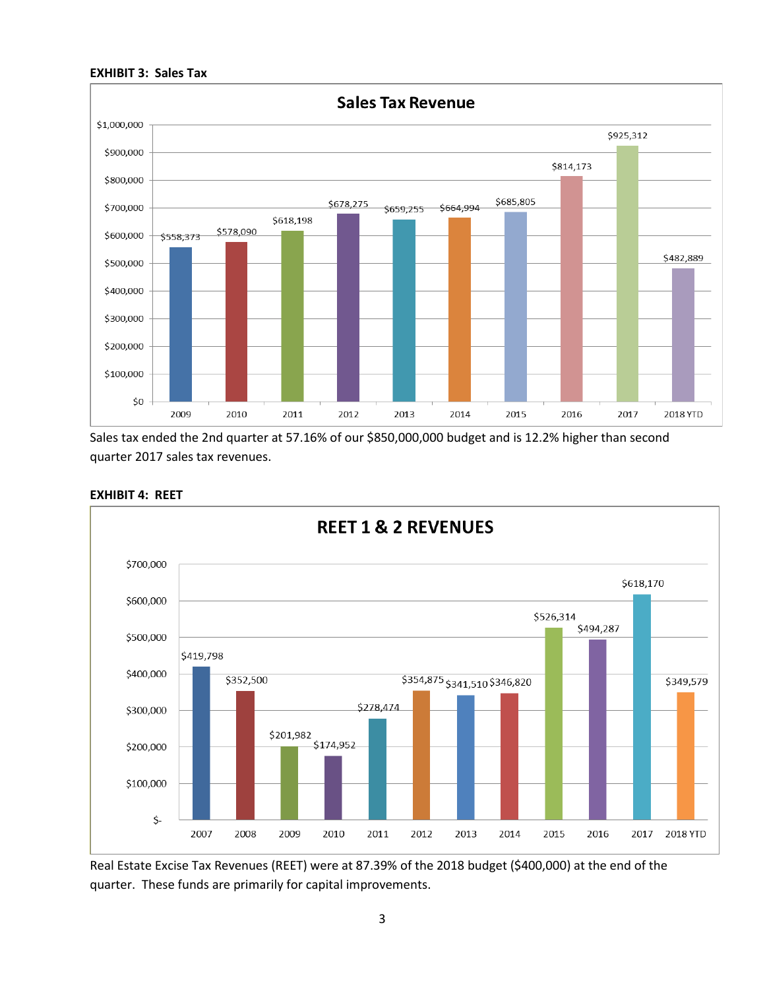



Sales tax ended the 2nd quarter at 57.16% of our \$850,000,000 budget and is 12.2% higher than second quarter 2017 sales tax revenues.



#### **EXHIBIT 4: REET**

Real Estate Excise Tax Revenues (REET) were at 87.39% of the 2018 budget (\$400,000) at the end of the quarter. These funds are primarily for capital improvements.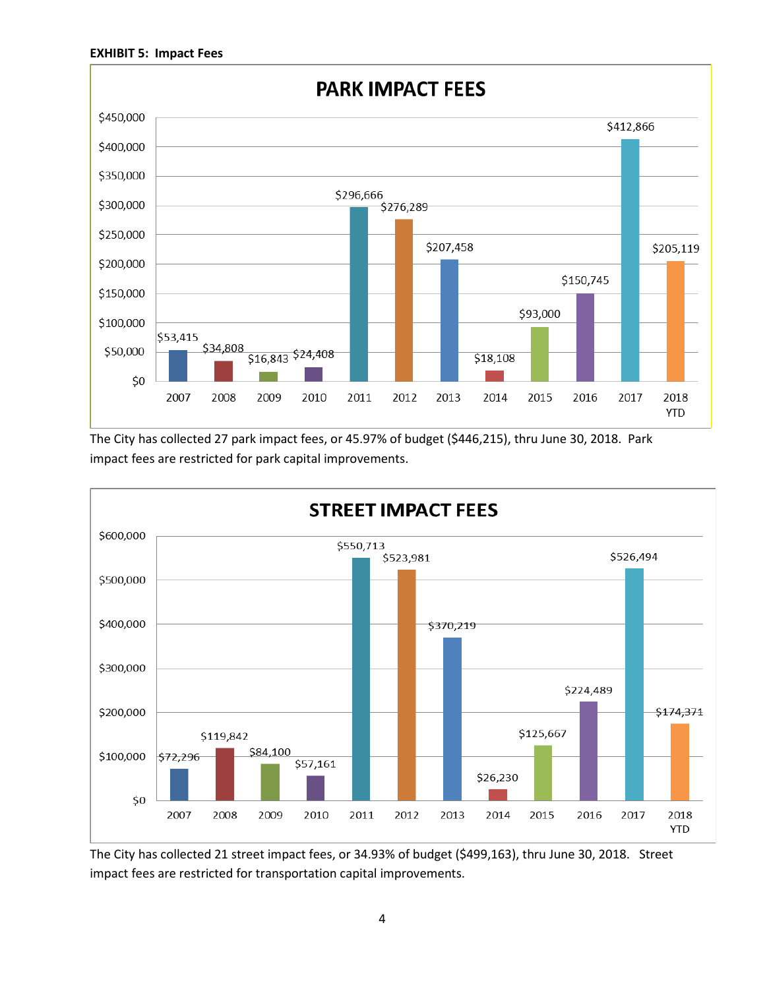

The City has collected 27 park impact fees, or 45.97% of budget (\$446,215), thru June 30, 2018. Park impact fees are restricted for park capital improvements.



The City has collected 21 street impact fees, or 34.93% of budget (\$499,163), thru June 30, 2018. Street impact fees are restricted for transportation capital improvements.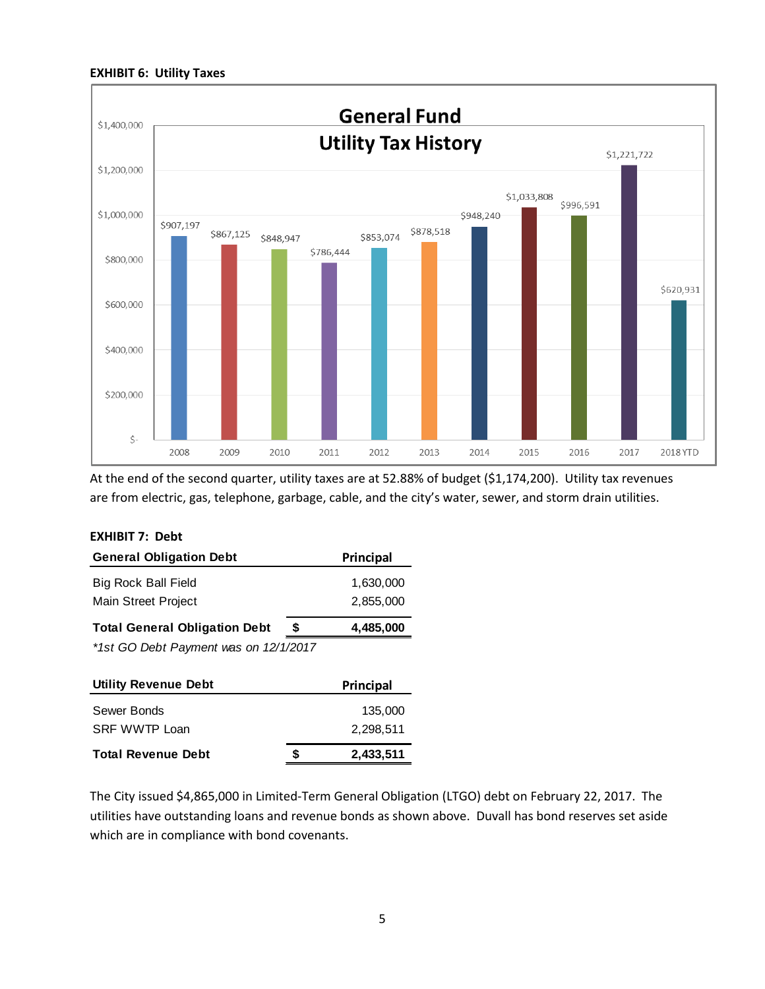#### **EXHIBIT 6: Utility Taxes**



At the end of the second quarter, utility taxes are at 52.88% of budget (\$1,174,200). Utility tax revenues are from electric, gas, telephone, garbage, cable, and the city's water, sewer, and storm drain utilities.

| <b>EXHIBIT 7: Debt</b>                |   |           |
|---------------------------------------|---|-----------|
| <b>General Obligation Debt</b>        |   | Principal |
| <b>Big Rock Ball Field</b>            |   | 1,630,000 |
| Main Street Project                   |   | 2,855,000 |
| <b>Total General Obligation Debt</b>  | S | 4,485,000 |
| *1st GO Debt Payment was on 12/1/2017 |   |           |
|                                       |   |           |

| <b>Utility Revenue Debt</b> |   | Principal |
|-----------------------------|---|-----------|
| Sewer Bonds                 |   | 135,000   |
| SRF WWTP Loan               |   | 2.298.511 |
| <b>Total Revenue Debt</b>   | S | 2,433,511 |

The City issued \$4,865,000 in Limited-Term General Obligation (LTGO) debt on February 22, 2017. The utilities have outstanding loans and revenue bonds as shown above. Duvall has bond reserves set aside which are in compliance with bond covenants.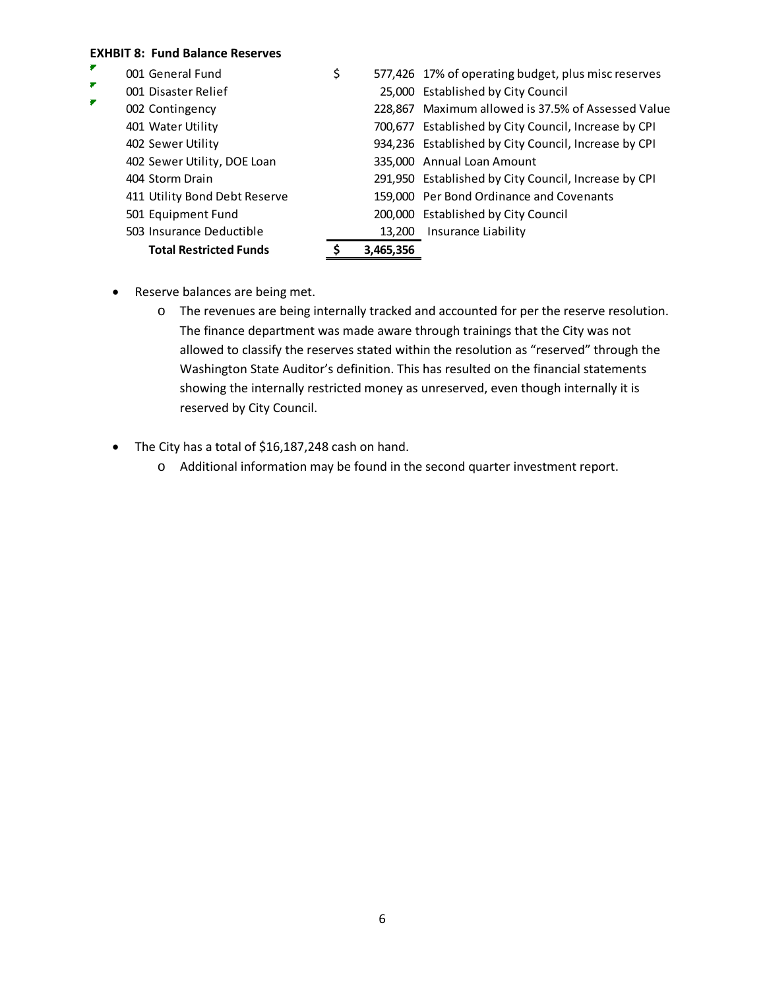# **EXHBIT 8: Fund Balance Reserves**

|   | <b>Total Restricted Funds</b> | 3.465.356 |                                                      |
|---|-------------------------------|-----------|------------------------------------------------------|
|   | 503 Insurance Deductible      | 13.200    | Insurance Liability                                  |
|   | 501 Equipment Fund            |           | 200,000 Established by City Council                  |
|   | 411 Utility Bond Debt Reserve |           | 159,000 Per Bond Ordinance and Covenants             |
|   | 404 Storm Drain               |           | 291,950 Established by City Council, Increase by CPI |
|   | 402 Sewer Utility, DOE Loan   |           | 335,000 Annual Loan Amount                           |
|   | 402 Sewer Utility             |           | 934,236 Established by City Council, Increase by CPI |
|   | 401 Water Utility             |           | 700,677 Established by City Council, Increase by CPI |
| F | 002 Contingency               |           | 228,867 Maximum allowed is 37.5% of Assessed Value   |
| ₹ | 001 Disaster Relief           |           | 25,000 Established by City Council                   |
| × | 001 General Fund              | \$        | 577,426 17% of operating budget, plus misc reserves  |

- Reserve balances are being met.
	- o The revenues are being internally tracked and accounted for per the reserve resolution. The finance department was made aware through trainings that the City was not allowed to classify the reserves stated within the resolution as "reserved" through the Washington State Auditor's definition. This has resulted on the financial statements showing the internally restricted money as unreserved, even though internally it is reserved by City Council.
- The City has a total of \$16,187,248 cash on hand.
	- o Additional information may be found in the second quarter investment report.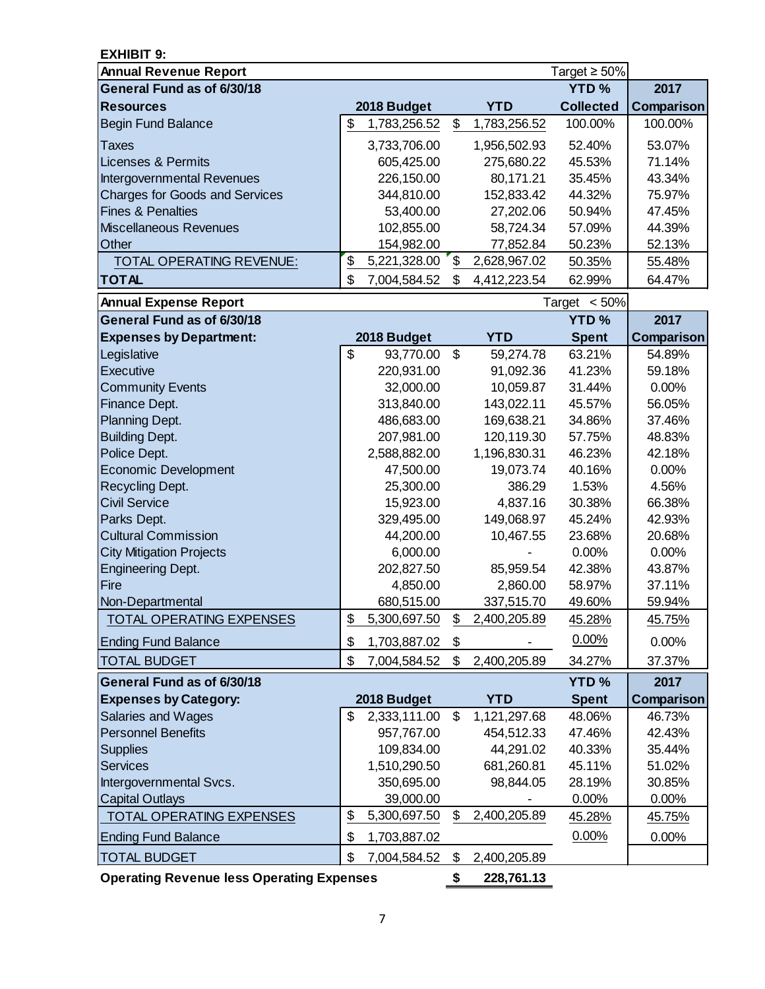| <b>EXHIBIT 9:</b>                                |                    |       |              |                    |               |
|--------------------------------------------------|--------------------|-------|--------------|--------------------|---------------|
| <b>Annual Revenue Report</b>                     |                    |       |              | Target $\geq 50\%$ |               |
| General Fund as of 6/30/18                       |                    |       |              | <b>YTD%</b>        | 2017          |
| <b>Resources</b>                                 | 2018 Budget        |       | <b>YTD</b>   | <b>Collected</b>   | Comparison    |
| <b>Begin Fund Balance</b>                        | \$<br>1,783,256.52 | \$    | 1,783,256.52 | 100.00%            | 100.00%       |
| Taxes                                            | 3,733,706.00       |       | 1,956,502.93 | 52.40%             | 53.07%        |
| <b>Licenses &amp; Permits</b>                    | 605,425.00         |       | 275,680.22   | 45.53%             | 71.14%        |
| Intergovernmental Revenues                       | 226,150.00         |       | 80,171.21    | 35.45%             | 43.34%        |
| <b>Charges for Goods and Services</b>            | 344,810.00         |       | 152,833.42   | 44.32%             | 75.97%        |
| <b>Fines &amp; Penalties</b>                     | 53,400.00          |       | 27,202.06    | 50.94%             | 47.45%        |
| <b>Miscellaneous Revenues</b>                    | 102,855.00         |       | 58,724.34    | 57.09%             | 44.39%        |
| Other                                            | 154,982.00         |       | 77,852.84    | 50.23%             | 52.13%        |
| <b>TOTAL OPERATING REVENUE:</b>                  | \$<br>5,221,328.00 | \$    | 2,628,967.02 | 50.35%             | 55.48%        |
| <b>TOTAL</b>                                     | \$<br>7,004,584.52 | \$    | 4,412,223.54 | 62.99%             | 64.47%        |
| <b>Annual Expense Report</b>                     |                    |       |              | Target $< 50\%$    |               |
| General Fund as of 6/30/18                       |                    |       |              | <b>YTD%</b>        | 2017          |
| <b>Expenses by Department:</b>                   | 2018 Budget        |       | <b>YTD</b>   | <b>Spent</b>       | Comparison    |
| Legislative                                      | \$<br>93,770.00    | \$    | 59,274.78    | 63.21%             | 54.89%        |
| Executive                                        | 220,931.00         |       | 91,092.36    | 41.23%             | 59.18%        |
| <b>Community Events</b>                          | 32,000.00          |       | 10,059.87    | 31.44%             | 0.00%         |
| Finance Dept.                                    | 313,840.00         |       | 143,022.11   | 45.57%             | 56.05%        |
| Planning Dept.                                   | 486,683.00         |       | 169,638.21   | 34.86%             | 37.46%        |
| <b>Building Dept.</b>                            | 207,981.00         |       | 120,119.30   | 57.75%             | 48.83%        |
| Police Dept.                                     | 2,588,882.00       |       | 1,196,830.31 | 46.23%             | 42.18%        |
| <b>Economic Development</b>                      | 47,500.00          |       | 19,073.74    | 40.16%             | 0.00%         |
| Recycling Dept.                                  | 25,300.00          |       | 386.29       | 1.53%              | 4.56%         |
| <b>Civil Service</b>                             | 15,923.00          |       | 4,837.16     | 30.38%             | 66.38%        |
| Parks Dept.                                      | 329,495.00         |       | 149,068.97   | 45.24%             | 42.93%        |
| <b>Cultural Commission</b>                       | 44,200.00          |       | 10,467.55    | 23.68%             | 20.68%        |
| <b>City Mitigation Projects</b>                  | 6,000.00           |       |              | 0.00%              | 0.00%         |
| <b>Engineering Dept.</b>                         | 202,827.50         |       | 85,959.54    | 42.38%             | 43.87%        |
| Fire                                             | 4,850.00           |       | 2,860.00     | 58.97%             | 37.11%        |
| Non-Departmental                                 | 680,515.00         |       | 337,515.70   | 49.60%             | 59.94%        |
| TOTAL OPERATING EXPENSES                         | \$<br>5,300,697.50 | \$    | 2,400,205.89 | 45.28%             | 45.75%        |
| <b>Ending Fund Balance</b>                       | \$<br>1,703,887.02 | \$    |              | 0.00%              | 0.00%         |
| <b>TOTAL BUDGET</b>                              | \$<br>7,004,584.52 | \$    | 2,400,205.89 | 34.27%             | 37.37%        |
| General Fund as of 6/30/18                       |                    |       |              | <b>YTD%</b>        | 2017          |
| <b>Expenses by Category:</b>                     | 2018 Budget        |       | <b>YTD</b>   | <b>Spent</b>       | Comparison    |
| Salaries and Wages                               | \$<br>2,333,111.00 | $\$\$ | 1,121,297.68 | 48.06%             | 46.73%        |
| <b>Personnel Benefits</b>                        | 957,767.00         |       | 454,512.33   | 47.46%             | 42.43%        |
| <b>Supplies</b>                                  | 109,834.00         |       | 44,291.02    | 40.33%             | 35.44%        |
| <b>Services</b>                                  | 1,510,290.50       |       | 681,260.81   | 45.11%             | 51.02%        |
| Intergovernmental Svcs.                          | 350,695.00         |       | 98,844.05    | 28.19%             | 30.85%        |
| <b>Capital Outlays</b>                           | 39,000.00          |       |              | 0.00%              | 0.00%         |
| TOTAL OPERATING EXPENSES                         | \$<br>5,300,697.50 | \$    | 2,400,205.89 | 45.28%             | <u>45.75%</u> |
| <b>Ending Fund Balance</b>                       | \$<br>1,703,887.02 |       |              | 0.00%              | 0.00%         |
| <b>TOTAL BUDGET</b>                              | \$<br>7,004,584.52 | \$    | 2,400,205.89 |                    |               |
| <b>Operating Revenue less Operating Expenses</b> |                    | \$    | 228,761.13   |                    |               |

7